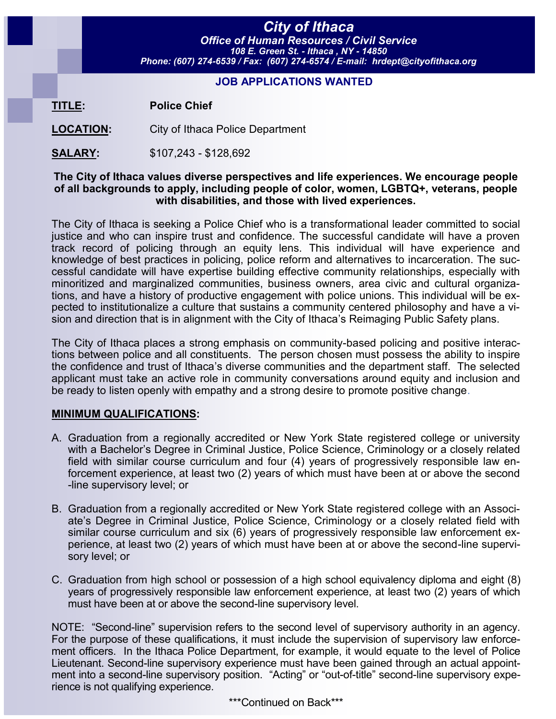# *City of Ithaca*

*Office of Human Resources / Civil Service 108 E. Green St. - Ithaca , NY - 14850 Phone: (607) 274-6539 / Fax: (607) 274-6574 / E-mail: hrdept@cityofithaca.org*

#### **JOB APPLICATIONS WANTED**

**TITLE: Police Chief**

**LOCATION:** City of Ithaca Police Department

**SALARY:** \$107,243 - \$128,692

#### **The City of Ithaca values diverse perspectives and life experiences. We encourage people of all backgrounds to apply, including people of color, women, LGBTQ+, veterans, people with disabilities, and those with lived experiences.**

The City of Ithaca is seeking a Police Chief who is a transformational leader committed to social justice and who can inspire trust and confidence. The successful candidate will have a proven track record of policing through an equity lens. This individual will have experience and knowledge of best practices in policing, police reform and alternatives to incarceration. The successful candidate will have expertise building effective community relationships, especially with minoritized and marginalized communities, business owners, area civic and cultural organizations, and have a history of productive engagement with police unions. This individual will be expected to institutionalize a culture that sustains a community centered philosophy and have a vision and direction that is in alignment with the City of Ithaca's Reimaging Public Safety plans.

The City of Ithaca places a strong emphasis on community-based policing and positive interactions between police and all constituents. The person chosen must possess the ability to inspire the confidence and trust of Ithaca's diverse communities and the department staff. The selected applicant must take an active role in community conversations around equity and inclusion and be ready to listen openly with empathy and a strong desire to promote positive change.

# **MINIMUM QUALIFICATIONS:**

- A. Graduation from a regionally accredited or New York State registered college or university with a Bachelor's Degree in Criminal Justice, Police Science, Criminology or a closely related field with similar course curriculum and four (4) years of progressively responsible law enforcement experience, at least two (2) years of which must have been at or above the second -line supervisory level; or
- B. Graduation from a regionally accredited or New York State registered college with an Associate's Degree in Criminal Justice, Police Science, Criminology or a closely related field with similar course curriculum and six (6) years of progressively responsible law enforcement experience, at least two (2) years of which must have been at or above the second-line supervisory level; or
- C. Graduation from high school or possession of a high school equivalency diploma and eight (8) years of progressively responsible law enforcement experience, at least two (2) years of which must have been at or above the second-line supervisory level.

NOTE: "Second-line" supervision refers to the second level of supervisory authority in an agency. For the purpose of these qualifications, it must include the supervision of supervisory law enforcement officers. In the Ithaca Police Department, for example, it would equate to the level of Police Lieutenant. Second-line supervisory experience must have been gained through an actual appointment into a second-line supervisory position. "Acting" or "out-of-title" second-line supervisory experience is not qualifying experience.

\*\*\*Continued on Back\*\*\*